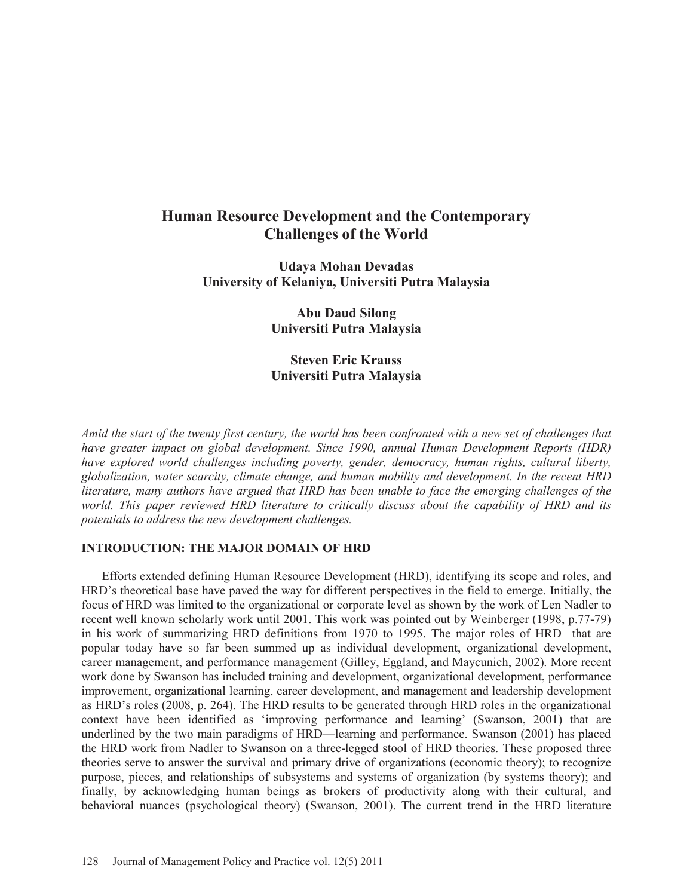# **Human Resource Development and the Contemporary Challenges of the World**

**Udaya Mohan Devadas University of Kelaniya, Universiti Putra Malaysia** 

> **Abu Daud Silong Universiti Putra Malaysia**

> **Steven Eric Krauss Universiti Putra Malaysia**

*Amid the start of the twenty first century, the world has been confronted with a new set of challenges that have greater impact on global development. Since 1990, annual Human Development Reports (HDR) have explored world challenges including poverty, gender, democracy, human rights, cultural liberty, globalization, water scarcity, climate change, and human mobility and development. In the recent HRD literature, many authors have argued that HRD has been unable to face the emerging challenges of the world. This paper reviewed HRD literature to critically discuss about the capability of HRD and its potentials to address the new development challenges.* 

## **INTRODUCTION: THE MAJOR DOMAIN OF HRD**

Efforts extended defining Human Resource Development (HRD), identifying its scope and roles, and HRD's theoretical base have paved the way for different perspectives in the field to emerge. Initially, the focus of HRD was limited to the organizational or corporate level as shown by the work of Len Nadler to recent well known scholarly work until 2001. This work was pointed out by Weinberger (1998, p.77-79) in his work of summarizing HRD definitions from 1970 to 1995. The major roles of HRD that are popular today have so far been summed up as individual development, organizational development, career management, and performance management (Gilley, Eggland, and Maycunich, 2002). More recent work done by Swanson has included training and development, organizational development, performance improvement, organizational learning, career development, and management and leadership development as HRD's roles (2008, p. 264). The HRD results to be generated through HRD roles in the organizational context have been identified as 'improving performance and learning' (Swanson, 2001) that are underlined by the two main paradigms of HRD—learning and performance. Swanson (2001) has placed the HRD work from Nadler to Swanson on a three-legged stool of HRD theories. These proposed three theories serve to answer the survival and primary drive of organizations (economic theory); to recognize purpose, pieces, and relationships of subsystems and systems of organization (by systems theory); and finally, by acknowledging human beings as brokers of productivity along with their cultural, and behavioral nuances (psychological theory) (Swanson, 2001). The current trend in the HRD literature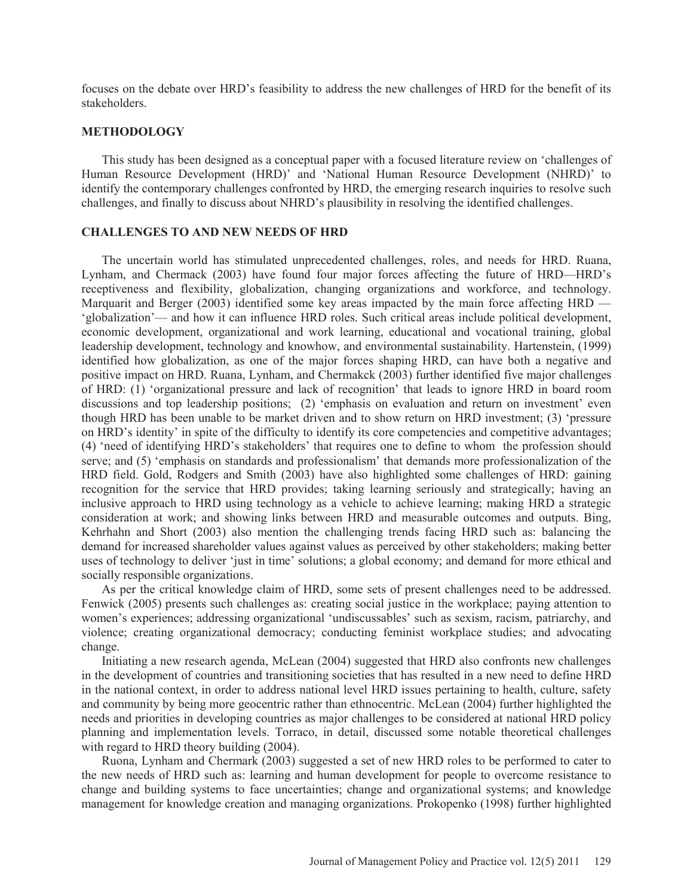focuses on the debate over HRD's feasibility to address the new challenges of HRD for the benefit of its stakeholders.

#### **METHODOLOGY**

This study has been designed as a conceptual paper with a focused literature review on 'challenges of Human Resource Development (HRD)' and 'National Human Resource Development (NHRD)' to identify the contemporary challenges confronted by HRD, the emerging research inquiries to resolve such challenges, and finally to discuss about NHRD's plausibility in resolving the identified challenges.

## **CHALLENGES TO AND NEW NEEDS OF HRD**

The uncertain world has stimulated unprecedented challenges, roles, and needs for HRD. Ruana, Lynham, and Chermack (2003) have found four major forces affecting the future of HRD—HRD's receptiveness and flexibility, globalization, changing organizations and workforce, and technology. Marquarit and Berger (2003) identified some key areas impacted by the main force affecting HRD — 'globalization'— and how it can influence HRD roles. Such critical areas include political development, economic development, organizational and work learning, educational and vocational training, global leadership development, technology and knowhow, and environmental sustainability. Hartenstein, (1999) identified how globalization, as one of the major forces shaping HRD, can have both a negative and positive impact on HRD. Ruana, Lynham, and Chermakck (2003) further identified five major challenges of HRD: (1) 'organizational pressure and lack of recognition' that leads to ignore HRD in board room discussions and top leadership positions; (2) 'emphasis on evaluation and return on investment' even though HRD has been unable to be market driven and to show return on HRD investment; (3) 'pressure on HRD's identity' in spite of the difficulty to identify its core competencies and competitive advantages; (4) 'need of identifying HRD's stakeholders' that requires one to define to whom the profession should serve; and (5) 'emphasis on standards and professionalism' that demands more professionalization of the HRD field. Gold, Rodgers and Smith (2003) have also highlighted some challenges of HRD: gaining recognition for the service that HRD provides; taking learning seriously and strategically; having an inclusive approach to HRD using technology as a vehicle to achieve learning; making HRD a strategic consideration at work; and showing links between HRD and measurable outcomes and outputs. Bing, Kehrhahn and Short (2003) also mention the challenging trends facing HRD such as: balancing the demand for increased shareholder values against values as perceived by other stakeholders; making better uses of technology to deliver 'just in time' solutions; a global economy; and demand for more ethical and socially responsible organizations.

As per the critical knowledge claim of HRD, some sets of present challenges need to be addressed. Fenwick (2005) presents such challenges as: creating social justice in the workplace; paying attention to women's experiences; addressing organizational 'undiscussables' such as sexism, racism, patriarchy, and violence; creating organizational democracy; conducting feminist workplace studies; and advocating change.

Initiating a new research agenda, McLean (2004) suggested that HRD also confronts new challenges in the development of countries and transitioning societies that has resulted in a new need to define HRD in the national context, in order to address national level HRD issues pertaining to health, culture, safety and community by being more geocentric rather than ethnocentric. McLean (2004) further highlighted the needs and priorities in developing countries as major challenges to be considered at national HRD policy planning and implementation levels. Torraco, in detail, discussed some notable theoretical challenges with regard to HRD theory building  $(2004)$ .

Ruona, Lynham and Chermark (2003) suggested a set of new HRD roles to be performed to cater to the new needs of HRD such as: learning and human development for people to overcome resistance to change and building systems to face uncertainties; change and organizational systems; and knowledge management for knowledge creation and managing organizations. Prokopenko (1998) further highlighted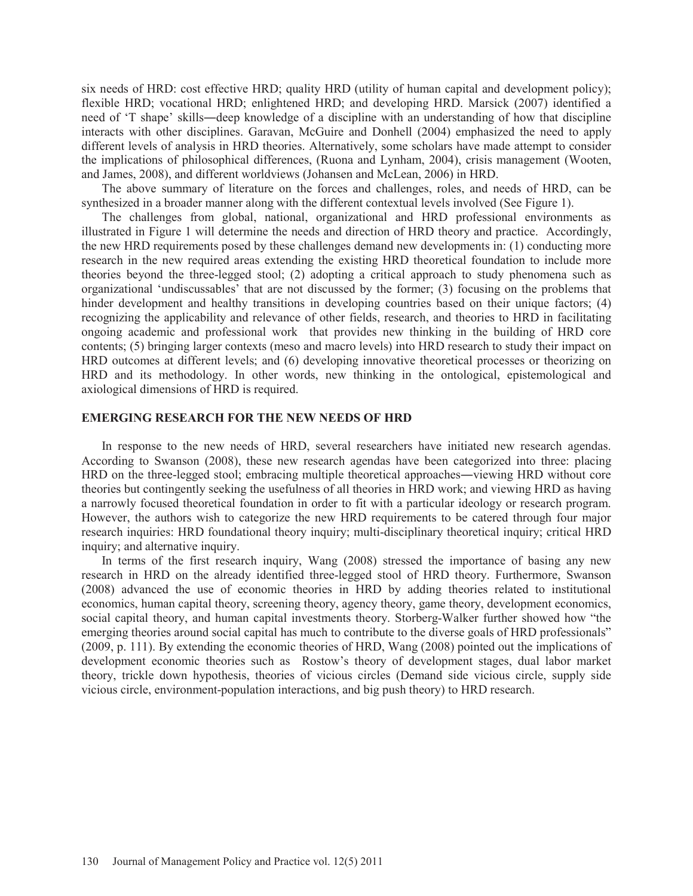six needs of HRD: cost effective HRD; quality HRD (utility of human capital and development policy); flexible HRD; vocational HRD; enlightened HRD; and developing HRD. Marsick (2007) identified a need of 'T shape' skills—deep knowledge of a discipline with an understanding of how that discipline interacts with other disciplines. Garavan, McGuire and Donhell (2004) emphasized the need to apply different levels of analysis in HRD theories. Alternatively, some scholars have made attempt to consider the implications of philosophical differences, (Ruona and Lynham, 2004), crisis management (Wooten, and James, 2008), and different worldviews (Johansen and McLean, 2006) in HRD.

The above summary of literature on the forces and challenges, roles, and needs of HRD, can be synthesized in a broader manner along with the different contextual levels involved (See Figure 1).

The challenges from global, national, organizational and HRD professional environments as illustrated in Figure 1 will determine the needs and direction of HRD theory and practice. Accordingly, the new HRD requirements posed by these challenges demand new developments in: (1) conducting more research in the new required areas extending the existing HRD theoretical foundation to include more theories beyond the three-legged stool; (2) adopting a critical approach to study phenomena such as organizational 'undiscussables' that are not discussed by the former; (3) focusing on the problems that hinder development and healthy transitions in developing countries based on their unique factors; (4) recognizing the applicability and relevance of other fields, research, and theories to HRD in facilitating ongoing academic and professional work that provides new thinking in the building of HRD core contents; (5) bringing larger contexts (meso and macro levels) into HRD research to study their impact on HRD outcomes at different levels; and (6) developing innovative theoretical processes or theorizing on HRD and its methodology. In other words, new thinking in the ontological, epistemological and axiological dimensions of HRD is required.

## **EMERGING RESEARCH FOR THE NEW NEEDS OF HRD**

In response to the new needs of HRD, several researchers have initiated new research agendas. According to Swanson (2008), these new research agendas have been categorized into three: placing HRD on the three-legged stool; embracing multiple theoretical approaches—viewing HRD without core theories but contingently seeking the usefulness of all theories in HRD work; and viewing HRD as having a narrowly focused theoretical foundation in order to fit with a particular ideology or research program. However, the authors wish to categorize the new HRD requirements to be catered through four major research inquiries: HRD foundational theory inquiry; multi-disciplinary theoretical inquiry; critical HRD inquiry; and alternative inquiry.

In terms of the first research inquiry, Wang (2008) stressed the importance of basing any new research in HRD on the already identified three-legged stool of HRD theory. Furthermore, Swanson (2008) advanced the use of economic theories in HRD by adding theories related to institutional economics, human capital theory, screening theory, agency theory, game theory, development economics, social capital theory, and human capital investments theory. Storberg-Walker further showed how "the emerging theories around social capital has much to contribute to the diverse goals of HRD professionals" (2009, p. 111). By extending the economic theories of HRD, Wang (2008) pointed out the implications of development economic theories such as Rostow's theory of development stages, dual labor market theory, trickle down hypothesis, theories of vicious circles (Demand side vicious circle, supply side vicious circle, environment-population interactions, and big push theory) to HRD research.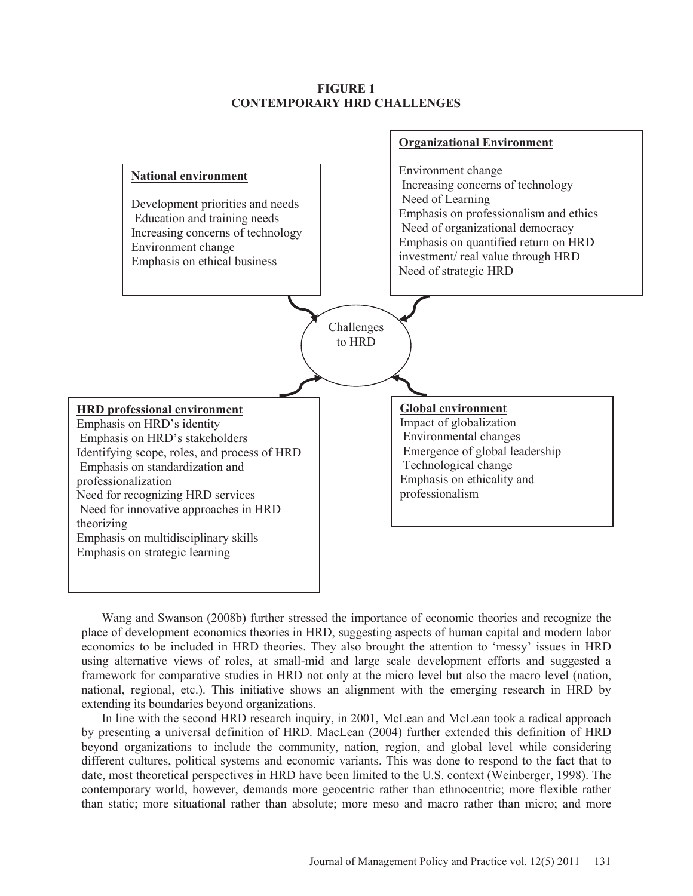## **FIGURE 1 CONTEMPORARY HRD CHALLENGES**



Wang and Swanson (2008b) further stressed the importance of economic theories and recognize the place of development economics theories in HRD, suggesting aspects of human capital and modern labor economics to be included in HRD theories. They also brought the attention to 'messy' issues in HRD using alternative views of roles, at small-mid and large scale development efforts and suggested a framework for comparative studies in HRD not only at the micro level but also the macro level (nation, national, regional, etc.). This initiative shows an alignment with the emerging research in HRD by extending its boundaries beyond organizations.

In line with the second HRD research inquiry, in 2001, McLean and McLean took a radical approach by presenting a universal definition of HRD. MacLean (2004) further extended this definition of HRD beyond organizations to include the community, nation, region, and global level while considering different cultures, political systems and economic variants. This was done to respond to the fact that to date, most theoretical perspectives in HRD have been limited to the U.S. context (Weinberger, 1998). The contemporary world, however, demands more geocentric rather than ethnocentric; more flexible rather than static; more situational rather than absolute; more meso and macro rather than micro; and more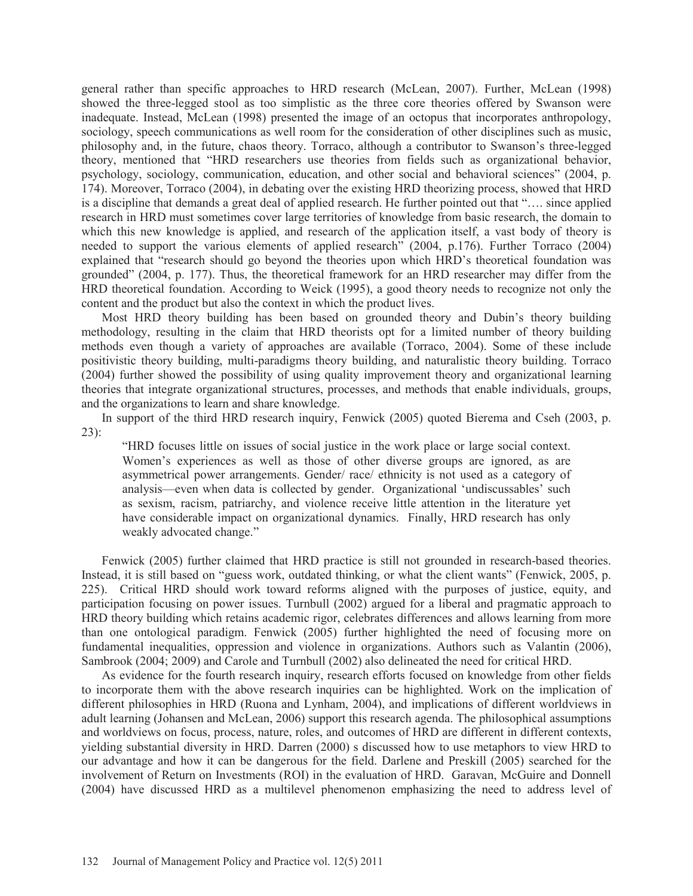general rather than specific approaches to HRD research (McLean, 2007). Further, McLean (1998) showed the three-legged stool as too simplistic as the three core theories offered by Swanson were inadequate. Instead, McLean (1998) presented the image of an octopus that incorporates anthropology, sociology, speech communications as well room for the consideration of other disciplines such as music, philosophy and, in the future, chaos theory. Torraco, although a contributor to Swanson's three-legged theory, mentioned that "HRD researchers use theories from fields such as organizational behavior, psychology, sociology, communication, education, and other social and behavioral sciences" (2004, p. 174). Moreover, Torraco (2004), in debating over the existing HRD theorizing process, showed that HRD is a discipline that demands a great deal of applied research. He further pointed out that "…. since applied research in HRD must sometimes cover large territories of knowledge from basic research, the domain to which this new knowledge is applied, and research of the application itself, a vast body of theory is needed to support the various elements of applied research" (2004, p.176). Further Torraco (2004) explained that "research should go beyond the theories upon which HRD's theoretical foundation was grounded" (2004, p. 177). Thus, the theoretical framework for an HRD researcher may differ from the HRD theoretical foundation. According to Weick (1995), a good theory needs to recognize not only the content and the product but also the context in which the product lives.

Most HRD theory building has been based on grounded theory and Dubin's theory building methodology, resulting in the claim that HRD theorists opt for a limited number of theory building methods even though a variety of approaches are available (Torraco, 2004). Some of these include positivistic theory building, multi-paradigms theory building, and naturalistic theory building. Torraco (2004) further showed the possibility of using quality improvement theory and organizational learning theories that integrate organizational structures, processes, and methods that enable individuals, groups, and the organizations to learn and share knowledge.

In support of the third HRD research inquiry, Fenwick (2005) quoted Bierema and Cseh (2003, p. 23):

"HRD focuses little on issues of social justice in the work place or large social context. Women's experiences as well as those of other diverse groups are ignored, as are asymmetrical power arrangements. Gender/ race/ ethnicity is not used as a category of analysis—even when data is collected by gender. Organizational 'undiscussables' such as sexism, racism, patriarchy, and violence receive little attention in the literature yet have considerable impact on organizational dynamics. Finally, HRD research has only weakly advocated change."

Fenwick (2005) further claimed that HRD practice is still not grounded in research-based theories. Instead, it is still based on "guess work, outdated thinking, or what the client wants" (Fenwick, 2005, p. 225). Critical HRD should work toward reforms aligned with the purposes of justice, equity, and participation focusing on power issues. Turnbull (2002) argued for a liberal and pragmatic approach to HRD theory building which retains academic rigor, celebrates differences and allows learning from more than one ontological paradigm. Fenwick (2005) further highlighted the need of focusing more on fundamental inequalities, oppression and violence in organizations. Authors such as Valantin (2006), Sambrook (2004; 2009) and Carole and Turnbull (2002) also delineated the need for critical HRD.

As evidence for the fourth research inquiry, research efforts focused on knowledge from other fields to incorporate them with the above research inquiries can be highlighted. Work on the implication of different philosophies in HRD (Ruona and Lynham, 2004), and implications of different worldviews in adult learning (Johansen and McLean, 2006) support this research agenda. The philosophical assumptions and worldviews on focus, process, nature, roles, and outcomes of HRD are different in different contexts, yielding substantial diversity in HRD. Darren (2000) s discussed how to use metaphors to view HRD to our advantage and how it can be dangerous for the field. Darlene and Preskill (2005) searched for the involvement of Return on Investments (ROI) in the evaluation of HRD. Garavan, McGuire and Donnell (2004) have discussed HRD as a multilevel phenomenon emphasizing the need to address level of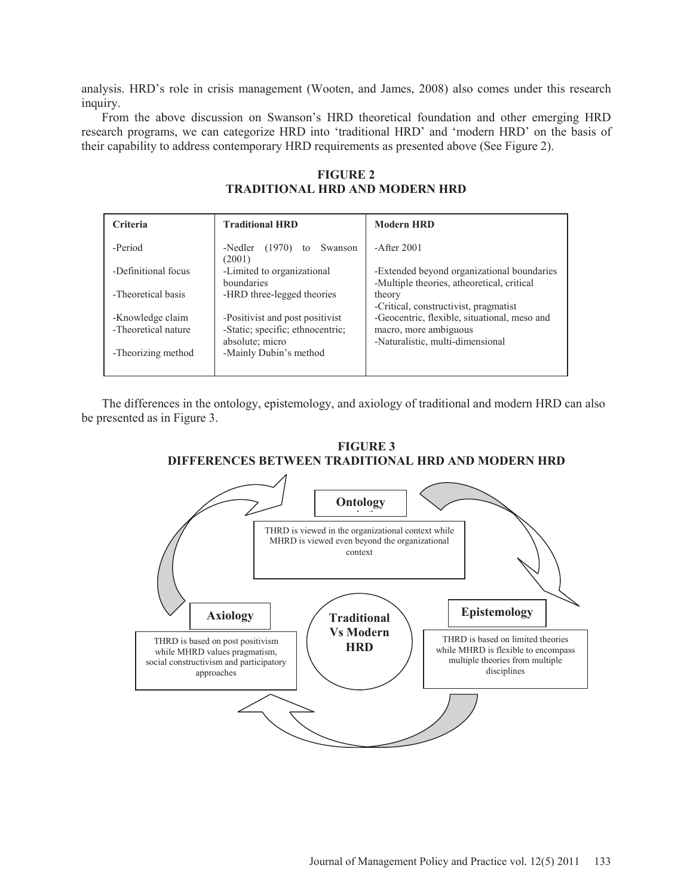analysis. HRD's role in crisis management (Wooten, and James, 2008) also comes under this research inquiry.

From the above discussion on Swanson's HRD theoretical foundation and other emerging HRD research programs, we can categorize HRD into 'traditional HRD' and 'modern HRD' on the basis of their capability to address contemporary HRD requirements as presented above (See Figure 2).

| Criteria                                | <b>Traditional HRD</b>                                              | <b>Modern HRD</b>                                                                        |
|-----------------------------------------|---------------------------------------------------------------------|------------------------------------------------------------------------------------------|
| -Period                                 | Swanson<br>-Nedler $(1970)$ to<br>(2001)                            | $-A$ fter 2001                                                                           |
| -Definitional focus                     | -Limited to organizational<br>boundaries                            | -Extended beyond organizational boundaries<br>-Multiple theories, atheoretical, critical |
| -Theoretical basis                      | -HRD three-legged theories                                          | theory<br>-Critical, constructivist, pragmatist                                          |
| -Knowledge claim<br>-Theoretical nature | -Positivist and post positivist<br>-Static; specific; ethnocentric; | -Geocentric, flexible, situational, meso and<br>macro, more ambiguous                    |
| -Theorizing method                      | absolute; micro<br>-Mainly Dubin's method                           | -Naturalistic, multi-dimensional                                                         |

**FIGURE 2 TRADITIONAL HRD AND MODERN HRD** 

The differences in the ontology, epistemology, and axiology of traditional and modern HRD can also be presented as in Figure 3.



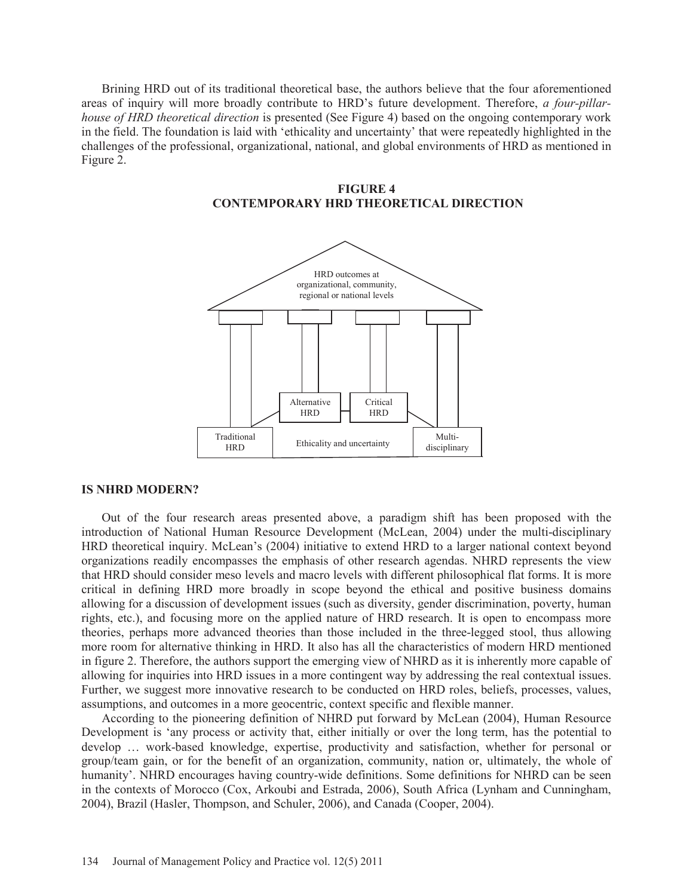Brining HRD out of its traditional theoretical base, the authors believe that the four aforementioned areas of inquiry will more broadly contribute to HRD's future development. Therefore, *a four-pillarhouse of HRD theoretical direction* is presented (See Figure 4) based on the ongoing contemporary work in the field. The foundation is laid with 'ethicality and uncertainty' that were repeatedly highlighted in the challenges of the professional, organizational, national, and global environments of HRD as mentioned in Figure 2.





#### **IS NHRD MODERN?**

Out of the four research areas presented above, a paradigm shift has been proposed with the introduction of National Human Resource Development (McLean, 2004) under the multi-disciplinary HRD theoretical inquiry. McLean's (2004) initiative to extend HRD to a larger national context beyond organizations readily encompasses the emphasis of other research agendas. NHRD represents the view that HRD should consider meso levels and macro levels with different philosophical flat forms. It is more critical in defining HRD more broadly in scope beyond the ethical and positive business domains allowing for a discussion of development issues (such as diversity, gender discrimination, poverty, human rights, etc.), and focusing more on the applied nature of HRD research. It is open to encompass more theories, perhaps more advanced theories than those included in the three-legged stool, thus allowing more room for alternative thinking in HRD. It also has all the characteristics of modern HRD mentioned in figure 2. Therefore, the authors support the emerging view of NHRD as it is inherently more capable of allowing for inquiries into HRD issues in a more contingent way by addressing the real contextual issues. Further, we suggest more innovative research to be conducted on HRD roles, beliefs, processes, values, assumptions, and outcomes in a more geocentric, context specific and flexible manner.

According to the pioneering definition of NHRD put forward by McLean (2004), Human Resource Development is 'any process or activity that, either initially or over the long term, has the potential to develop … work-based knowledge, expertise, productivity and satisfaction, whether for personal or group/team gain, or for the benefit of an organization, community, nation or, ultimately, the whole of humanity'. NHRD encourages having country-wide definitions. Some definitions for NHRD can be seen in the contexts of Morocco (Cox, Arkoubi and Estrada, 2006), South Africa (Lynham and Cunningham, 2004), Brazil (Hasler, Thompson, and Schuler, 2006), and Canada (Cooper, 2004).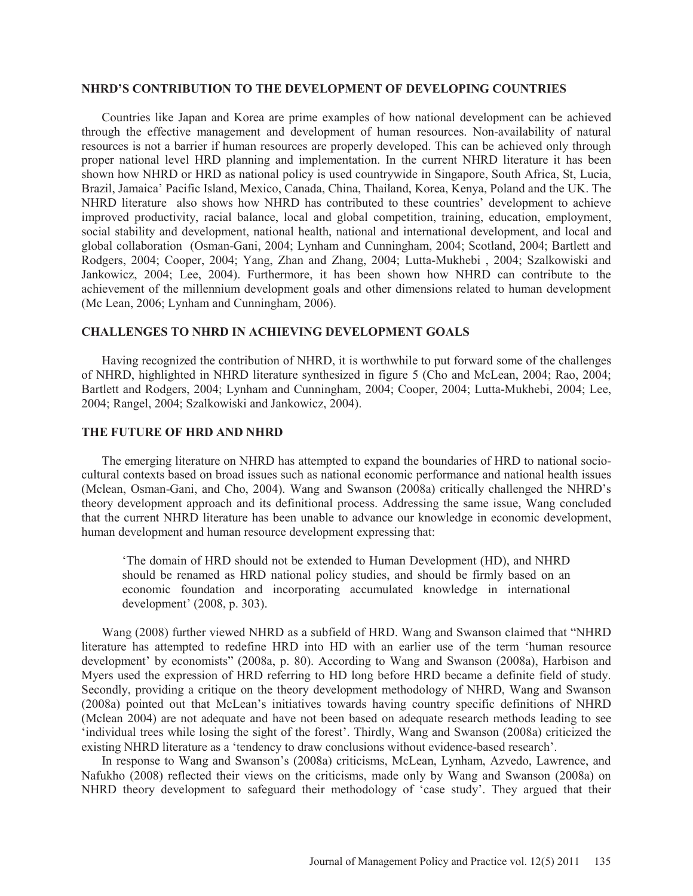#### **NHRD'S CONTRIBUTION TO THE DEVELOPMENT OF DEVELOPING COUNTRIES**

Countries like Japan and Korea are prime examples of how national development can be achieved through the effective management and development of human resources. Non-availability of natural resources is not a barrier if human resources are properly developed. This can be achieved only through proper national level HRD planning and implementation. In the current NHRD literature it has been shown how NHRD or HRD as national policy is used countrywide in Singapore, South Africa, St, Lucia, Brazil, Jamaica' Pacific Island, Mexico, Canada, China, Thailand, Korea, Kenya, Poland and the UK. The NHRD literature also shows how NHRD has contributed to these countries' development to achieve improved productivity, racial balance, local and global competition, training, education, employment, social stability and development, national health, national and international development, and local and global collaboration (Osman-Gani, 2004; Lynham and Cunningham, 2004; Scotland, 2004; Bartlett and Rodgers, 2004; Cooper, 2004; Yang, Zhan and Zhang, 2004; Lutta-Mukhebi , 2004; Szalkowiski and Jankowicz, 2004; Lee, 2004). Furthermore, it has been shown how NHRD can contribute to the achievement of the millennium development goals and other dimensions related to human development (Mc Lean, 2006; Lynham and Cunningham, 2006).

## **CHALLENGES TO NHRD IN ACHIEVING DEVELOPMENT GOALS**

Having recognized the contribution of NHRD, it is worthwhile to put forward some of the challenges of NHRD, highlighted in NHRD literature synthesized in figure 5 (Cho and McLean, 2004; Rao, 2004; Bartlett and Rodgers, 2004; Lynham and Cunningham, 2004; Cooper, 2004; Lutta-Mukhebi, 2004; Lee, 2004; Rangel, 2004; Szalkowiski and Jankowicz, 2004).

## **THE FUTURE OF HRD AND NHRD**

The emerging literature on NHRD has attempted to expand the boundaries of HRD to national sociocultural contexts based on broad issues such as national economic performance and national health issues (Mclean, Osman-Gani, and Cho, 2004). Wang and Swanson (2008a) critically challenged the NHRD's theory development approach and its definitional process. Addressing the same issue, Wang concluded that the current NHRD literature has been unable to advance our knowledge in economic development, human development and human resource development expressing that:

'The domain of HRD should not be extended to Human Development (HD), and NHRD should be renamed as HRD national policy studies, and should be firmly based on an economic foundation and incorporating accumulated knowledge in international development' (2008, p. 303).

Wang (2008) further viewed NHRD as a subfield of HRD. Wang and Swanson claimed that "NHRD literature has attempted to redefine HRD into HD with an earlier use of the term 'human resource development' by economists" (2008a, p. 80). According to Wang and Swanson (2008a), Harbison and Myers used the expression of HRD referring to HD long before HRD became a definite field of study. Secondly, providing a critique on the theory development methodology of NHRD, Wang and Swanson (2008a) pointed out that McLean's initiatives towards having country specific definitions of NHRD (Mclean 2004) are not adequate and have not been based on adequate research methods leading to see 'individual trees while losing the sight of the forest'. Thirdly, Wang and Swanson (2008a) criticized the existing NHRD literature as a 'tendency to draw conclusions without evidence-based research'.

In response to Wang and Swanson's (2008a) criticisms, McLean, Lynham, Azvedo, Lawrence, and Nafukho (2008) reflected their views on the criticisms, made only by Wang and Swanson (2008a) on NHRD theory development to safeguard their methodology of 'case study'. They argued that their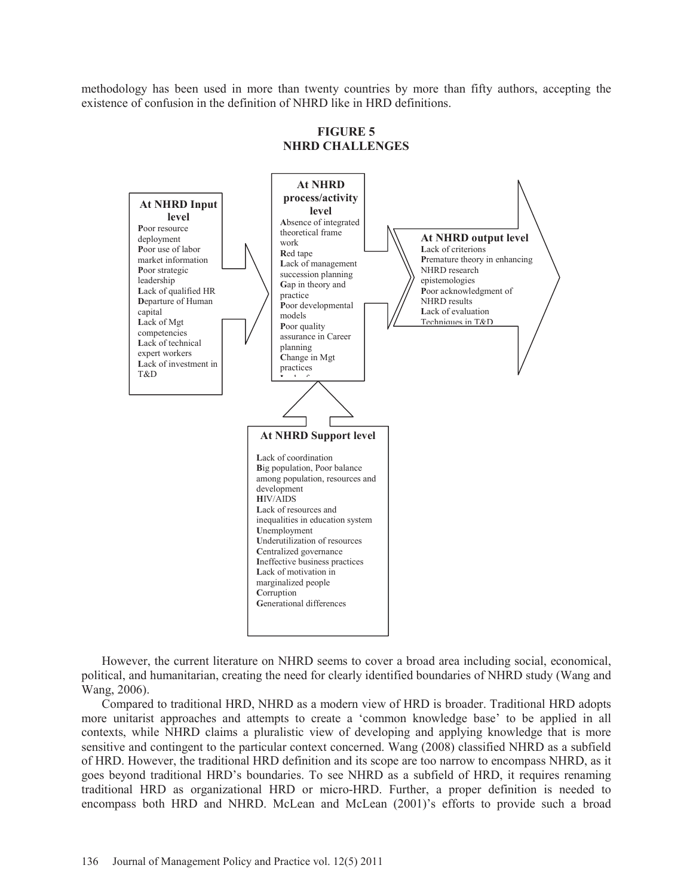methodology has been used in more than twenty countries by more than fifty authors, accepting the existence of confusion in the definition of NHRD like in HRD definitions.



**FIGURE 5 NHRD CHALLENGES** 

However, the current literature on NHRD seems to cover a broad area including social, economical, political, and humanitarian, creating the need for clearly identified boundaries of NHRD study (Wang and Wang, 2006).

Compared to traditional HRD, NHRD as a modern view of HRD is broader. Traditional HRD adopts more unitarist approaches and attempts to create a 'common knowledge base' to be applied in all contexts, while NHRD claims a pluralistic view of developing and applying knowledge that is more sensitive and contingent to the particular context concerned. Wang (2008) classified NHRD as a subfield of HRD. However, the traditional HRD definition and its scope are too narrow to encompass NHRD, as it goes beyond traditional HRD's boundaries. To see NHRD as a subfield of HRD, it requires renaming traditional HRD as organizational HRD or micro-HRD. Further, a proper definition is needed to encompass both HRD and NHRD. McLean and McLean (2001)'s efforts to provide such a broad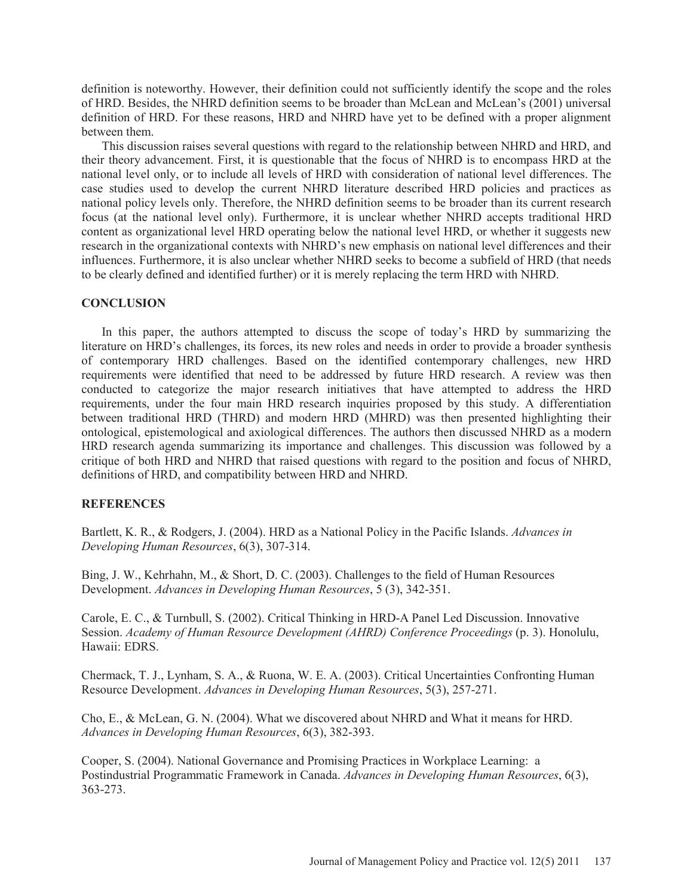definition is noteworthy. However, their definition could not sufficiently identify the scope and the roles of HRD. Besides, the NHRD definition seems to be broader than McLean and McLean's (2001) universal definition of HRD. For these reasons, HRD and NHRD have yet to be defined with a proper alignment between them.

This discussion raises several questions with regard to the relationship between NHRD and HRD, and their theory advancement. First, it is questionable that the focus of NHRD is to encompass HRD at the national level only, or to include all levels of HRD with consideration of national level differences. The case studies used to develop the current NHRD literature described HRD policies and practices as national policy levels only. Therefore, the NHRD definition seems to be broader than its current research focus (at the national level only). Furthermore, it is unclear whether NHRD accepts traditional HRD content as organizational level HRD operating below the national level HRD, or whether it suggests new research in the organizational contexts with NHRD's new emphasis on national level differences and their influences. Furthermore, it is also unclear whether NHRD seeks to become a subfield of HRD (that needs to be clearly defined and identified further) or it is merely replacing the term HRD with NHRD.

#### **CONCLUSION**

In this paper, the authors attempted to discuss the scope of today's HRD by summarizing the literature on HRD's challenges, its forces, its new roles and needs in order to provide a broader synthesis of contemporary HRD challenges. Based on the identified contemporary challenges, new HRD requirements were identified that need to be addressed by future HRD research. A review was then conducted to categorize the major research initiatives that have attempted to address the HRD requirements, under the four main HRD research inquiries proposed by this study. A differentiation between traditional HRD (THRD) and modern HRD (MHRD) was then presented highlighting their ontological, epistemological and axiological differences. The authors then discussed NHRD as a modern HRD research agenda summarizing its importance and challenges. This discussion was followed by a critique of both HRD and NHRD that raised questions with regard to the position and focus of NHRD, definitions of HRD, and compatibility between HRD and NHRD.

## **REFERENCES**

Bartlett, K. R., & Rodgers, J. (2004). HRD as a National Policy in the Pacific Islands. *Advances in Developing Human Resources*, 6(3), 307-314.

Bing, J. W., Kehrhahn, M., & Short, D. C. (2003). Challenges to the field of Human Resources Development. *Advances in Developing Human Resources*, 5 (3), 342-351.

Carole, E. C., & Turnbull, S. (2002). Critical Thinking in HRD-A Panel Led Discussion. Innovative Session. *Academy of Human Resource Development (AHRD) Conference Proceedings* (p. 3). Honolulu, Hawaii: EDRS.

Chermack, T. J., Lynham, S. A., & Ruona, W. E. A. (2003). Critical Uncertainties Confronting Human Resource Development. *Advances in Developing Human Resources*, 5(3), 257-271.

Cho, E., & McLean, G. N. (2004). What we discovered about NHRD and What it means for HRD. *Advances in Developing Human Resources*, 6(3), 382-393.

Cooper, S. (2004). National Governance and Promising Practices in Workplace Learning: a Postindustrial Programmatic Framework in Canada. *Advances in Developing Human Resources*, 6(3), 363-273.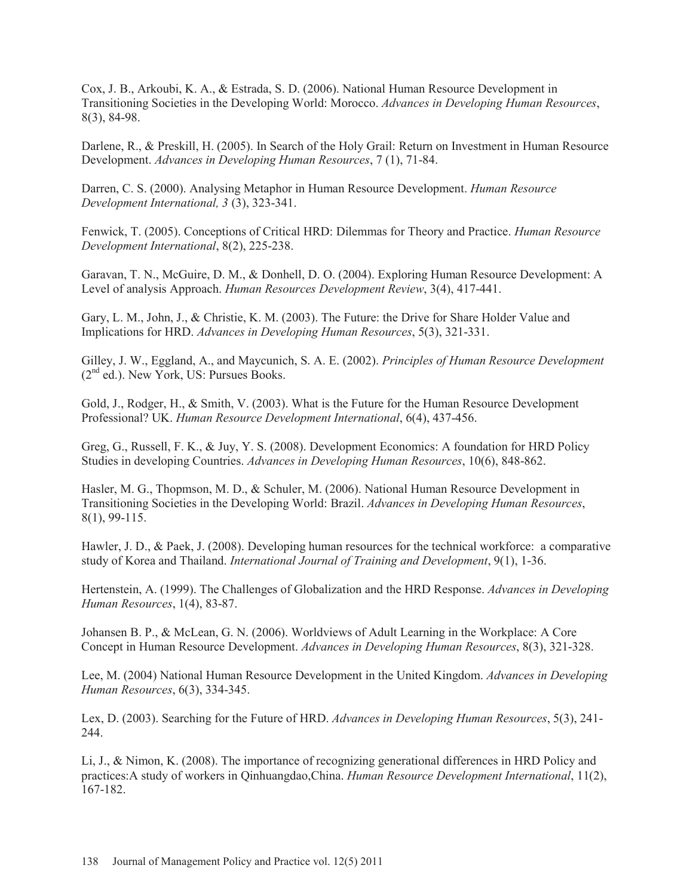Cox, J. B., Arkoubi, K. A., & Estrada, S. D. (2006). National Human Resource Development in Transitioning Societies in the Developing World: Morocco. *Advances in Developing Human Resources*, 8(3), 84-98.

Darlene, R., & Preskill, H. (2005). In Search of the Holy Grail: Return on Investment in Human Resource Development. *Advances in Developing Human Resources*, 7 (1), 71-84.

Darren, C. S. (2000). Analysing Metaphor in Human Resource Development. *Human Resource Development International, 3* (3), 323-341.

Fenwick, T. (2005). Conceptions of Critical HRD: Dilemmas for Theory and Practice. *Human Resource Development International*, 8(2), 225-238.

Garavan, T. N., McGuire, D. M., & Donhell, D. O. (2004). Exploring Human Resource Development: A Level of analysis Approach. *Human Resources Development Review*, 3(4), 417-441.

Gary, L. M., John, J., & Christie, K. M. (2003). The Future: the Drive for Share Holder Value and Implications for HRD. *Advances in Developing Human Resources*, 5(3), 321-331.

Gilley, J. W., Eggland, A., and Maycunich, S. A. E. (2002). *Principles of Human Resource Development*  $(2<sup>nd</sup> ed.).$  New York, US: Pursues Books.

Gold, J., Rodger, H., & Smith, V. (2003). What is the Future for the Human Resource Development Professional? UK. *Human Resource Development International*, 6(4), 437-456.

Greg, G., Russell, F. K., & Juy, Y. S. (2008). Development Economics: A foundation for HRD Policy Studies in developing Countries. *Advances in Developing Human Resources*, 10(6), 848-862.

Hasler, M. G., Thopmson, M. D., & Schuler, M. (2006). National Human Resource Development in Transitioning Societies in the Developing World: Brazil. *Advances in Developing Human Resources*, 8(1), 99-115.

Hawler, J. D., & Paek, J. (2008). Developing human resources for the technical workforce: a comparative study of Korea and Thailand. *International Journal of Training and Development*, 9(1), 1-36.

Hertenstein, A. (1999). The Challenges of Globalization and the HRD Response. *Advances in Developing Human Resources*, 1(4), 83-87.

Johansen B. P., & McLean, G. N. (2006). Worldviews of Adult Learning in the Workplace: A Core Concept in Human Resource Development. *Advances in Developing Human Resources*, 8(3), 321-328.

Lee, M. (2004) National Human Resource Development in the United Kingdom. *Advances in Developing Human Resources*, 6(3), 334-345.

Lex, D. (2003). Searching for the Future of HRD. *Advances in Developing Human Resources*, 5(3), 241- 244.

Li, J., & Nimon, K. (2008). The importance of recognizing generational differences in HRD Policy and practices:A study of workers in Qinhuangdao,China. *Human Resource Development International*, 11(2), 167-182.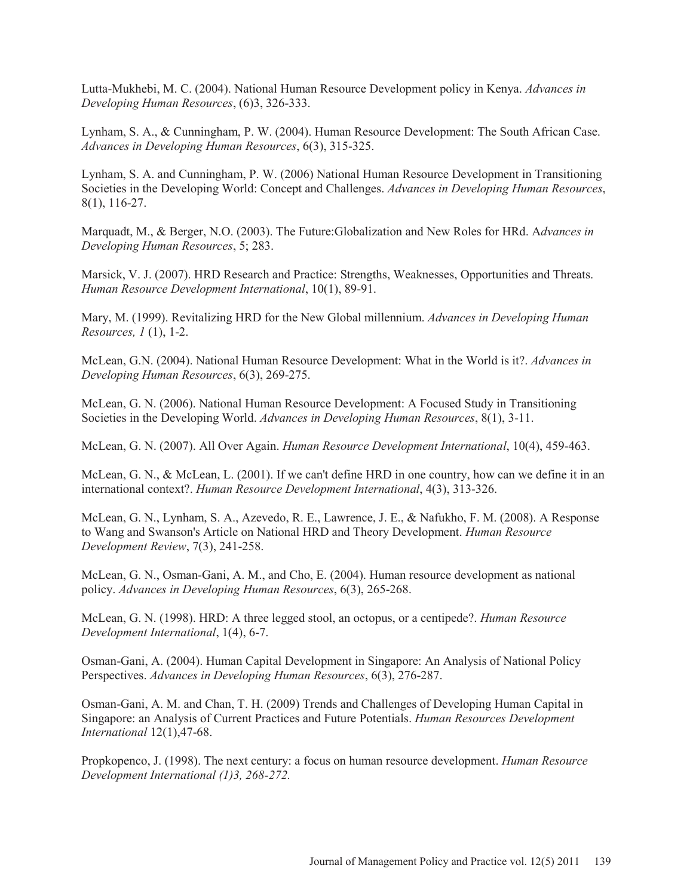Lutta-Mukhebi, M. C. (2004). National Human Resource Development policy in Kenya. *Advances in Developing Human Resources*, (6)3, 326-333.

Lynham, S. A., & Cunningham, P. W. (2004). Human Resource Development: The South African Case. *Advances in Developing Human Resources*, 6(3), 315-325.

Lynham, S. A. and Cunningham, P. W. (2006) National Human Resource Development in Transitioning Societies in the Developing World: Concept and Challenges. *Advances in Developing Human Resources*, 8(1), 116-27.

Marquadt, M., & Berger, N.O. (2003). The Future:Globalization and New Roles for HRd. A*dvances in Developing Human Resources*, 5; 283.

Marsick, V. J. (2007). HRD Research and Practice: Strengths, Weaknesses, Opportunities and Threats. *Human Resource Development International*, 10(1), 89-91.

Mary, M. (1999). Revitalizing HRD for the New Global millennium. *Advances in Developing Human Resources, 1* (1), 1-2.

McLean, G.N. (2004). National Human Resource Development: What in the World is it?. *Advances in Developing Human Resources*, 6(3), 269-275.

McLean, G. N. (2006). National Human Resource Development: A Focused Study in Transitioning Societies in the Developing World. *Advances in Developing Human Resources*, 8(1), 3-11.

McLean, G. N. (2007). All Over Again. *Human Resource Development International*, 10(4), 459-463.

McLean, G. N., & McLean, L. (2001). If we can't define HRD in one country, how can we define it in an international context?. *Human Resource Development International*, 4(3), 313-326.

McLean, G. N., Lynham, S. A., Azevedo, R. E., Lawrence, J. E., & Nafukho, F. M. (2008). A Response to Wang and Swanson's Article on National HRD and Theory Development. *Human Resource Development Review*, 7(3), 241-258.

McLean, G. N., Osman-Gani, A. M., and Cho, E. (2004). Human resource development as national policy. *Advances in Developing Human Resources*, 6(3), 265-268.

McLean, G. N. (1998). HRD: A three legged stool, an octopus, or a centipede?. *Human Resource Development International*, 1(4), 6-7.

Osman-Gani, A. (2004). Human Capital Development in Singapore: An Analysis of National Policy Perspectives. *Advances in Developing Human Resources*, 6(3), 276-287.

Osman-Gani, A. M. and Chan, T. H. (2009) Trends and Challenges of Developing Human Capital in Singapore: an Analysis of Current Practices and Future Potentials. *Human Resources Development International* 12(1),47-68.

Propkopenco, J. (1998). The next century: a focus on human resource development. *Human Resource Development International (1)3, 268-272.*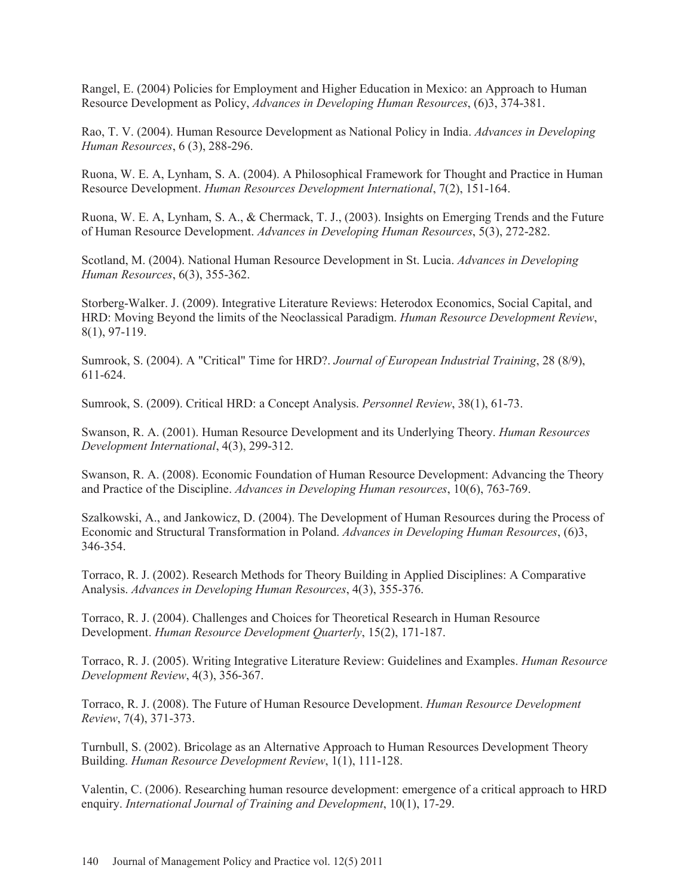Rangel, E. (2004) Policies for Employment and Higher Education in Mexico: an Approach to Human Resource Development as Policy, *Advances in Developing Human Resources*, (6)3, 374-381.

Rao, T. V. (2004). Human Resource Development as National Policy in India. *Advances in Developing Human Resources*, 6 (3), 288-296.

Ruona, W. E. A, Lynham, S. A. (2004). A Philosophical Framework for Thought and Practice in Human Resource Development. *Human Resources Development International*, 7(2), 151-164.

Ruona, W. E. A, Lynham, S. A., & Chermack, T. J., (2003). Insights on Emerging Trends and the Future of Human Resource Development. *Advances in Developing Human Resources*, 5(3), 272-282.

Scotland, M. (2004). National Human Resource Development in St. Lucia. *Advances in Developing Human Resources*, 6(3), 355-362.

Storberg-Walker. J. (2009). Integrative Literature Reviews: Heterodox Economics, Social Capital, and HRD: Moving Beyond the limits of the Neoclassical Paradigm. *Human Resource Development Review*, 8(1), 97-119.

Sumrook, S. (2004). A "Critical" Time for HRD?. *Journal of European Industrial Training*, 28 (8/9), 611-624.

Sumrook, S. (2009). Critical HRD: a Concept Analysis. *Personnel Review*, 38(1), 61-73.

Swanson, R. A. (2001). Human Resource Development and its Underlying Theory. *Human Resources Development International*, 4(3), 299-312.

Swanson, R. A. (2008). Economic Foundation of Human Resource Development: Advancing the Theory and Practice of the Discipline. *Advances in Developing Human resources*, 10(6), 763-769.

Szalkowski, A., and Jankowicz, D. (2004). The Development of Human Resources during the Process of Economic and Structural Transformation in Poland. *Advances in Developing Human Resources*, (6)3, 346-354.

Torraco, R. J. (2002). Research Methods for Theory Building in Applied Disciplines: A Comparative Analysis. *Advances in Developing Human Resources*, 4(3), 355-376.

Torraco, R. J. (2004). Challenges and Choices for Theoretical Research in Human Resource Development. *Human Resource Development Quarterly*, 15(2), 171-187.

Torraco, R. J. (2005). Writing Integrative Literature Review: Guidelines and Examples. *Human Resource Development Review*, 4(3), 356-367.

Torraco, R. J. (2008). The Future of Human Resource Development. *Human Resource Development Review*, 7(4), 371-373.

Turnbull, S. (2002). Bricolage as an Alternative Approach to Human Resources Development Theory Building. *Human Resource Development Review*, 1(1), 111-128.

Valentin, C. (2006). Researching human resource development: emergence of a critical approach to HRD enquiry. *International Journal of Training and Development*, 10(1), 17-29.